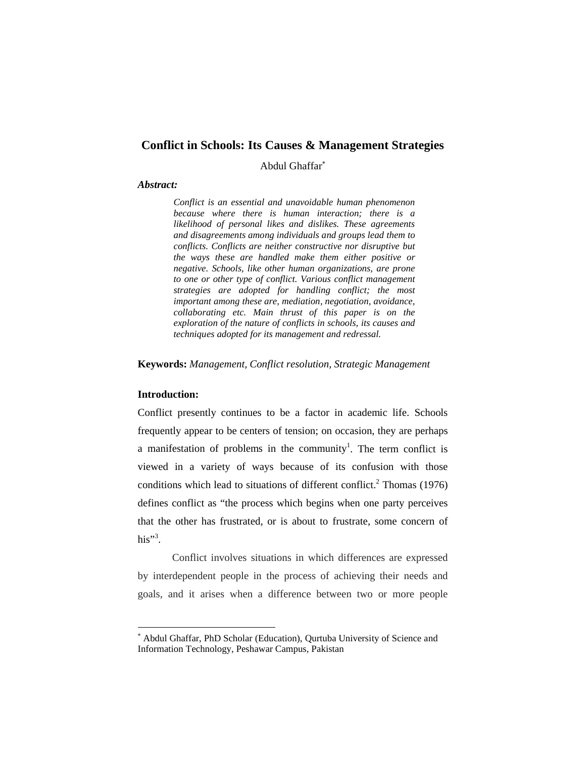# **Conflict in Schools: Its Causes & Management Strategies**

Abdul Ghaffar

#### *Abstract:*

*Conflict is an essential and unavoidable human phenomenon because where there is human interaction; there is a likelihood of personal likes and dislikes. These agreements and disagreements among individuals and groups lead them to conflicts. Conflicts are neither constructive nor disruptive but the ways these are handled make them either positive or negative. Schools, like other human organizations, are prone to one or other type of conflict. Various conflict management strategies are adopted for handling conflict; the most important among these are, mediation, negotiation, avoidance, collaborating etc. Main thrust of this paper is on the exploration of the nature of conflicts in schools, its causes and techniques adopted for its management and redressal.*

**Keywords:** *Management, Conflict resolution, Strategic Management*

## **Introduction:**

 $\overline{a}$ 

Conflict presently continues to be a factor in academic life. Schools frequently appear to be centers of tension; on occasion, they are perhaps a manifestation of problems in the community<sup>1</sup>. The term conflict is viewed in a variety of ways because of its confusion with those conditions which lead to situations of different conflict.<sup>2</sup> Thomas (1976) defines conflict as "the process which begins when one party perceives that the other has frustrated, or is about to frustrate, some concern of his"<sup>3</sup>.

Conflict involves situations in which differences are expressed by interdependent people in the process of achieving their needs and goals, and it arises when a difference between two or more people

Abdul Ghaffar, PhD Scholar (Education), Qurtuba University of Science and Information Technology, Peshawar Campus, Pakistan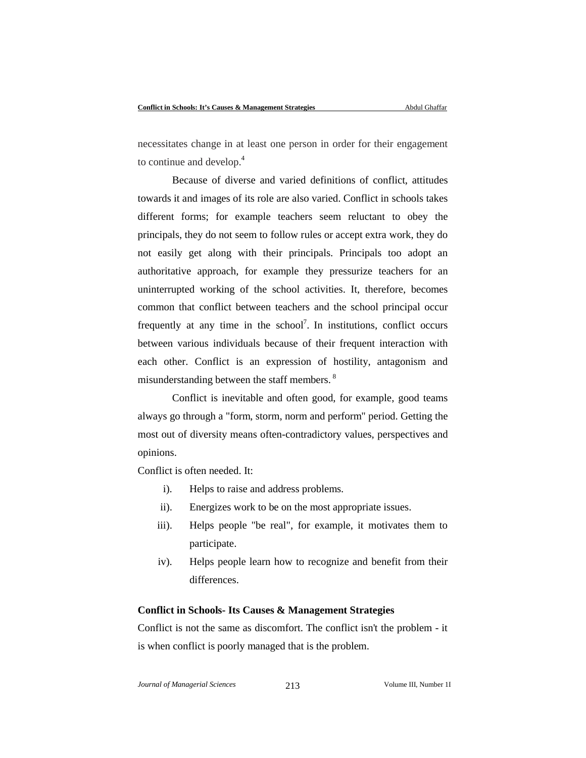necessitates change in at least one person in order for their engagement to continue and develop.<sup>4</sup>

Because of diverse and varied definitions of conflict, attitudes towards it and images of its role are also varied. Conflict in schools takes different forms; for example teachers seem reluctant to obey the principals, they do not seem to follow rules or accept extra work, they do not easily get along with their principals. Principals too adopt an authoritative approach, for example they pressurize teachers for an uninterrupted working of the school activities. It, therefore, becomes common that conflict between teachers and the school principal occur frequently at any time in the school<sup>7</sup>. In institutions, conflict occurs between various individuals because of their frequent interaction with each other. Conflict is an expression of hostility, antagonism and misunderstanding between the staff members.<sup>8</sup>

Conflict is inevitable and often good, for example, good teams always go through a "form, storm, norm and perform" period. Getting the most out of diversity means often-contradictory values, perspectives and opinions.

Conflict is often needed. It:

- i). Helps to raise and address problems.
- ii). Energizes work to be on the most appropriate issues.
- iii). Helps people "be real", for example, it motivates them to participate.
- iv). Helps people learn how to recognize and benefit from their differences.

### **Conflict in Schools- Its Causes & Management Strategies**

Conflict is not the same as discomfort. The conflict isn't the problem - it is when conflict is poorly managed that is the problem.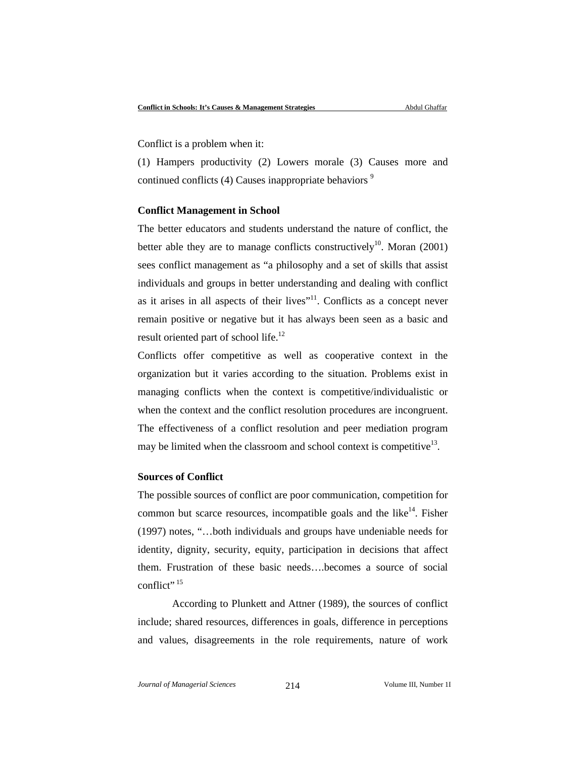Conflict is a problem when it:

(1) Hampers productivity (2) Lowers morale (3) Causes more and continued conflicts  $(4)$  Causes inappropriate behaviors<sup>9</sup>

#### **Conflict Management in School**

The better educators and students understand the nature of conflict, the better able they are to manage conflicts constructively<sup>10</sup>. Moran (2001) sees conflict management as "a philosophy and a set of skills that assist individuals and groups in better understanding and dealing with conflict as it arises in all aspects of their lives"<sup>11</sup>. Conflicts as a concept never remain positive or negative but it has always been seen as a basic and result oriented part of school life.<sup>12</sup>

Conflicts offer competitive as well as cooperative context in the organization but it varies according to the situation. Problems exist in managing conflicts when the context is competitive/individualistic or when the context and the conflict resolution procedures are incongruent. The effectiveness of a conflict resolution and peer mediation program may be limited when the classroom and school context is competitive<sup>13</sup>.

#### **Sources of Conflict**

The possible sources of conflict are poor communication, competition for common but scarce resources, incompatible goals and the like $14$ . Fisher (1997) notes, "…both individuals and groups have undeniable needs for identity, dignity, security, equity, participation in decisions that affect them. Frustration of these basic needs….becomes a source of social conflict"<sup>15</sup>

According to Plunkett and Attner (1989), the sources of conflict include; shared resources, differences in goals, difference in perceptions and values, disagreements in the role requirements, nature of work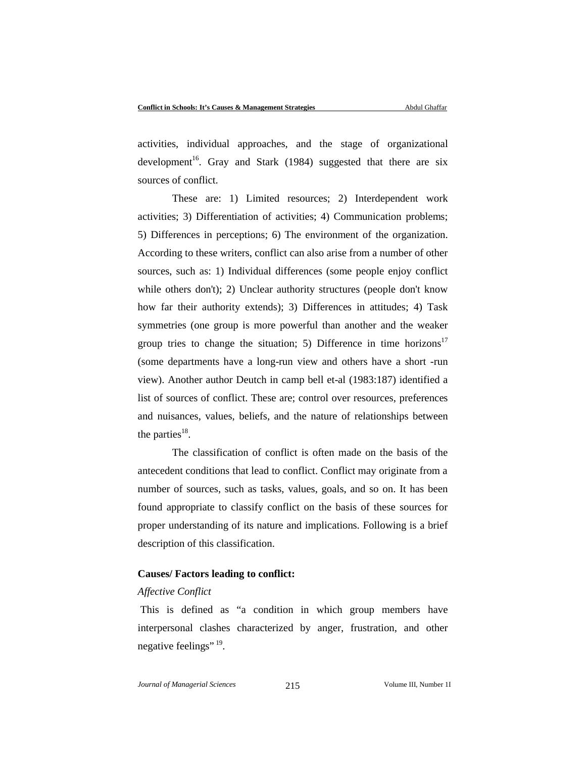activities, individual approaches, and the stage of organizational development<sup>16</sup>. Gray and Stark (1984) suggested that there are six sources of conflict.

These are: 1) Limited resources; 2) Interdependent work activities; 3) Differentiation of activities; 4) Communication problems; 5) Differences in perceptions; 6) The environment of the organization. According to these writers, conflict can also arise from a number of other sources, such as: 1) Individual differences (some people enjoy conflict while others don't); 2) Unclear authority structures (people don't know how far their authority extends); 3) Differences in attitudes; 4) Task symmetries (one group is more powerful than another and the weaker group tries to change the situation; 5) Difference in time horizons<sup>17</sup> (some departments have a long-run view and others have a short -run view). Another author Deutch in camp bell et-al (1983:187) identified a list of sources of conflict. These are; control over resources, preferences and nuisances, values, beliefs, and the nature of relationships between the parties $^{18}$ .

The classification of conflict is often made on the basis of the antecedent conditions that lead to conflict. Conflict may originate from a number of sources, such as tasks, values, goals, and so on. It has been found appropriate to classify conflict on the basis of these sources for proper understanding of its nature and implications. Following is a brief description of this classification.

### **Causes/ Factors leading to conflict:**

#### *Affective Conflict*

This is defined as "a condition in which group members have interpersonal clashes characterized by anger, frustration, and other negative feelings"  $^{19}$ .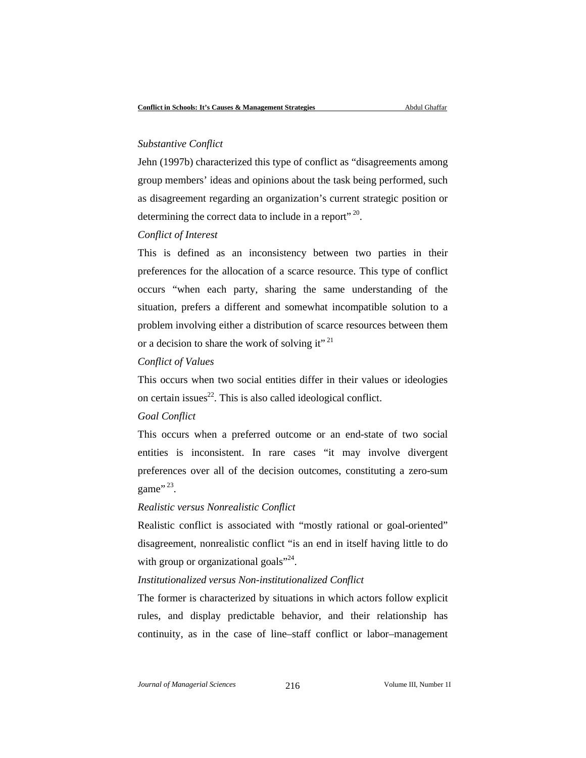#### *Substantive Conflict*

Jehn (1997b) characterized this type of conflict as "disagreements among group members' ideas and opinions about the task being performed, such as disagreement regarding an organization's current strategic position or determining the correct data to include in a report"<sup>20</sup>.

#### *Conflict of Interest*

This is defined as an inconsistency between two parties in their preferences for the allocation of a scarce resource. This type of conflict occurs "when each party, sharing the same understanding of the situation, prefers a different and somewhat incompatible solution to a problem involving either a distribution of scarce resources between them or a decision to share the work of solving it"<sup>21</sup>

#### *Conflict of Values*

This occurs when two social entities differ in their values or ideologies on certain issues $^{22}$ . This is also called ideological conflict.

## *Goal Conflict*

This occurs when a preferred outcome or an end-state of two social entities is inconsistent. In rare cases "it may involve divergent preferences over all of the decision outcomes, constituting a zero-sum game".<sup>23</sup>.

#### *Realistic versus Nonrealistic Conflict*

Realistic conflict is associated with "mostly rational or goal-oriented" disagreement, nonrealistic conflict "is an end in itself having little to do with group or organizational goals $"^{24}$ .

### *Institutionalized versus Non-institutionalized Conflict*

The former is characterized by situations in which actors follow explicit rules, and display predictable behavior, and their relationship has continuity, as in the case of line–staff conflict or labor–management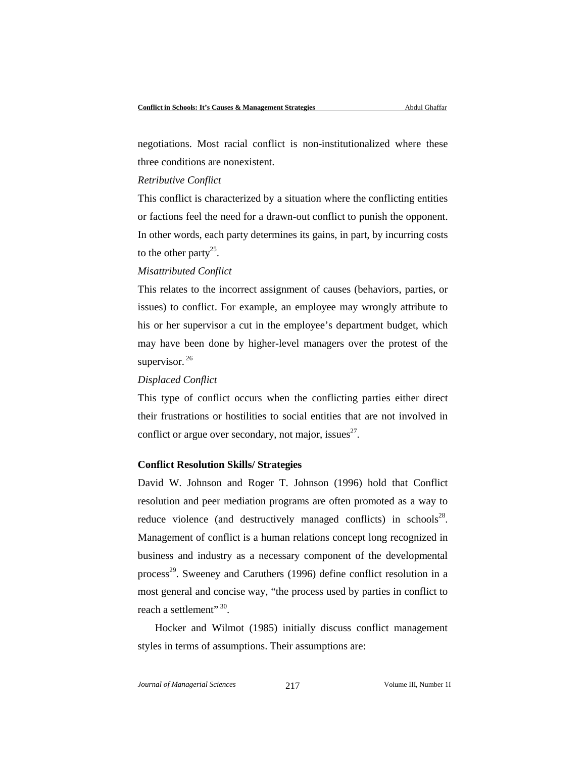negotiations. Most racial conflict is non-institutionalized where these three conditions are nonexistent.

### *Retributive Conflict*

This conflict is characterized by a situation where the conflicting entities or factions feel the need for a drawn-out conflict to punish the opponent. In other words, each party determines its gains, in part, by incurring costs to the other party<sup>25</sup>.

### *Misattributed Conflict*

This relates to the incorrect assignment of causes (behaviors, parties, or issues) to conflict. For example, an employee may wrongly attribute to his or her supervisor a cut in the employee's department budget, which may have been done by higher-level managers over the protest of the supervisor.<sup>26</sup>

## *Displaced Conflict*

This type of conflict occurs when the conflicting parties either direct their frustrations or hostilities to social entities that are not involved in conflict or argue over secondary, not major, issues<sup>27</sup>.

### **Conflict Resolution Skills/ Strategies**

David W. Johnson and Roger T. Johnson (1996) hold that Conflict resolution and peer mediation programs are often promoted as a way to reduce violence (and destructively managed conflicts) in schools<sup>28</sup>. Management of conflict is a human relations concept long recognized in business and industry as a necessary component of the developmental process<sup>29</sup>. Sweeney and Caruthers (1996) define conflict resolution in a most general and concise way, "the process used by parties in conflict to reach a settlement" 30.

Hocker and Wilmot (1985) initially discuss conflict management styles in terms of assumptions. Their assumptions are: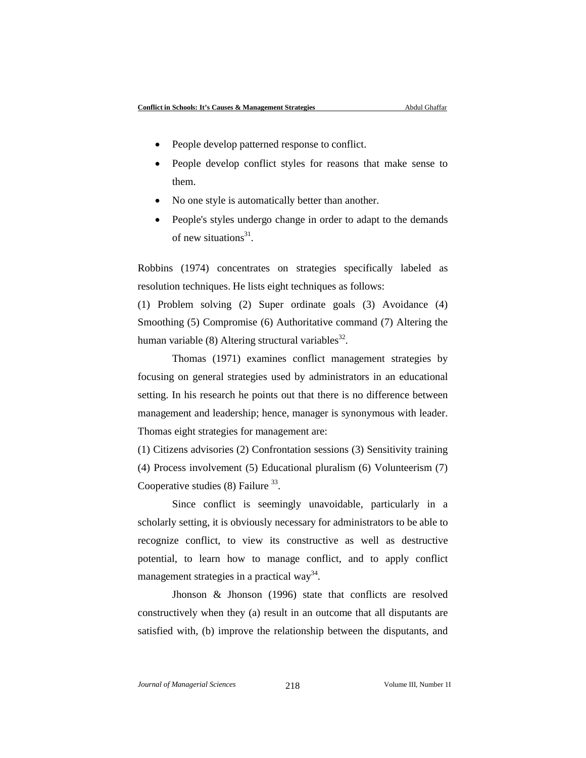- People develop patterned response to conflict.
- People develop conflict styles for reasons that make sense to them.
- No one style is automatically better than another.
- People's styles undergo change in order to adapt to the demands of new situations $31$ .

Robbins (1974) concentrates on strategies specifically labeled as resolution techniques. He lists eight techniques as follows:

(1) Problem solving (2) Super ordinate goals (3) Avoidance (4) Smoothing (5) Compromise (6) Authoritative command (7) Altering the human variable  $(8)$  Altering structural variables<sup>32</sup>.

Thomas (1971) examines conflict management strategies by focusing on general strategies used by administrators in an educational setting. In his research he points out that there is no difference between management and leadership; hence, manager is synonymous with leader. Thomas eight strategies for management are:

(1) Citizens advisories (2) Confrontation sessions (3) Sensitivity training (4) Process involvement (5) Educational pluralism (6) Volunteerism (7) Cooperative studies  $(8)$  Failure  $33$ .

Since conflict is seemingly unavoidable, particularly in a scholarly setting, it is obviously necessary for administrators to be able to recognize conflict, to view its constructive as well as destructive potential, to learn how to manage conflict, and to apply conflict management strategies in a practical way<sup>34</sup>.

Jhonson & Jhonson (1996) state that conflicts are resolved constructively when they (a) result in an outcome that all disputants are satisfied with, (b) improve the relationship between the disputants, and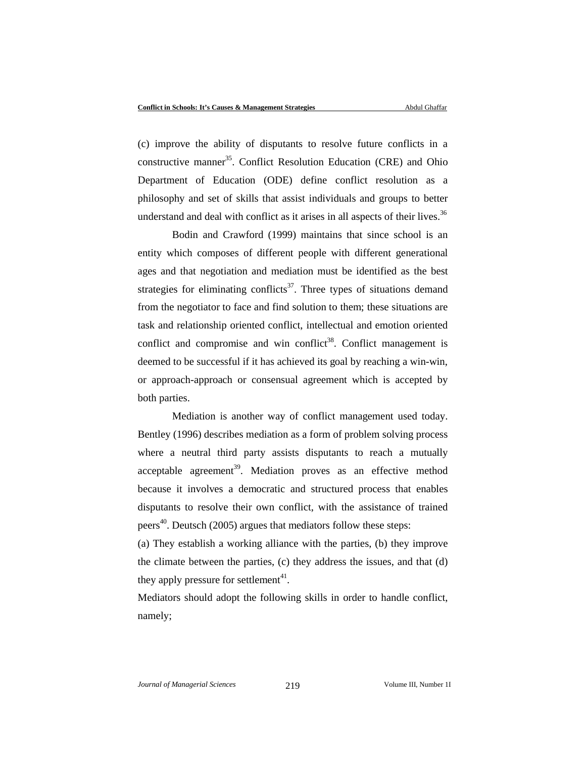(c) improve the ability of disputants to resolve future conflicts in a constructive manner<sup>35</sup>. Conflict Resolution Education (CRE) and Ohio Department of Education (ODE) define conflict resolution as a philosophy and set of skills that assist individuals and groups to better understand and deal with conflict as it arises in all aspects of their lives.<sup>36</sup>

Bodin and Crawford (1999) maintains that since school is an entity which composes of different people with different generational ages and that negotiation and mediation must be identified as the best strategies for eliminating conflicts<sup>37</sup>. Three types of situations demand from the negotiator to face and find solution to them; these situations are task and relationship oriented conflict, intellectual and emotion oriented conflict and compromise and win conflict<sup>38</sup>. Conflict management is deemed to be successful if it has achieved its goal by reaching a win-win, or approach-approach or consensual agreement which is accepted by both parties.

Mediation is another way of conflict management used today. Bentley (1996) describes mediation as a form of problem solving process where a neutral third party assists disputants to reach a mutually  $acceptable$  agreement<sup>39</sup>. Mediation proves as an effective method because it involves a democratic and structured process that enables disputants to resolve their own conflict, with the assistance of trained peers<sup>40</sup>. Deutsch (2005) argues that mediators follow these steps:

(a) They establish a working alliance with the parties, (b) they improve the climate between the parties, (c) they address the issues, and that (d) they apply pressure for settlement<sup>41</sup>.

Mediators should adopt the following skills in order to handle conflict, namely;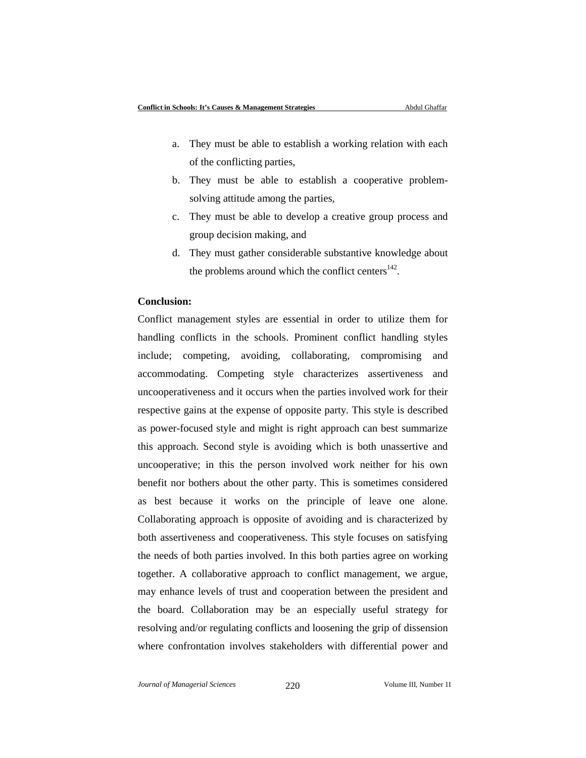- a. They must be able to establish a working relation with each of the conflicting parties,
- b. They must be able to establish a cooperative problemsolving attitude among the parties,
- c. They must be able to develop a creative group process and group decision making, and
- d. They must gather considerable substantive knowledge about the problems around which the conflict centers $142$ .

#### **Conclusion:**

Conflict management styles are essential in order to utilize them for handling conflicts in the schools. Prominent conflict handling styles include; competing, avoiding, collaborating, compromising and accommodating. Competing style characterizes assertiveness and uncooperativeness and it occurs when the parties involved work for their respective gains at the expense of opposite party. This style is described as power-focused style and might is right approach can best summarize this approach. Second style is avoiding which is both unassertive and uncooperative; in this the person involved work neither for his own benefit nor bothers about the other party. This is sometimes considered as best because it works on the principle of leave one alone. Collaborating approach is opposite of avoiding and is characterized by both assertiveness and cooperativeness. This style focuses on satisfying the needs of both parties involved. In this both parties agree on working together. A collaborative approach to conflict management, we argue, may enhance levels of trust and cooperation between the president and the board. Collaboration may be an especially useful strategy for resolving and/or regulating conflicts and loosening the grip of dissension where confrontation involves stakeholders with differential power and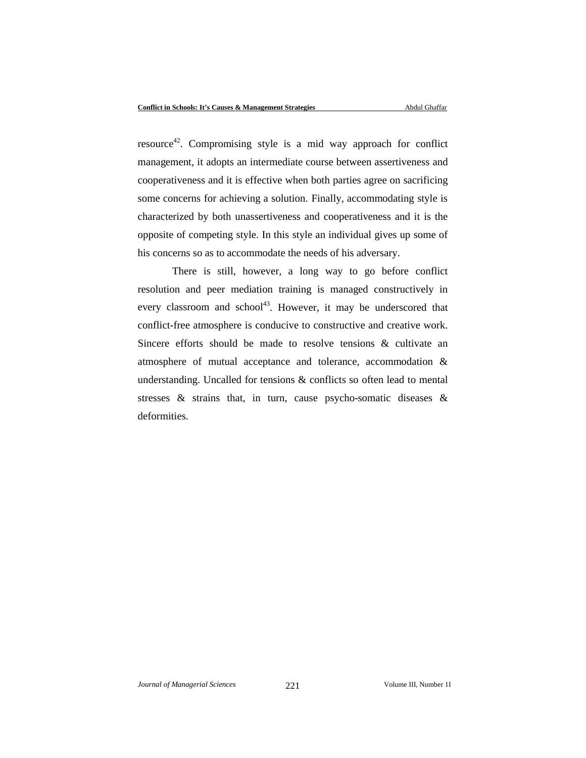$resource<sup>42</sup>$ . Compromising style is a mid way approach for conflict management, it adopts an intermediate course between assertiveness and cooperativeness and it is effective when both parties agree on sacrificing some concerns for achieving a solution. Finally, accommodating style is characterized by both unassertiveness and cooperativeness and it is the opposite of competing style. In this style an individual gives up some of his concerns so as to accommodate the needs of his adversary.

There is still, however, a long way to go before conflict resolution and peer mediation training is managed constructively in every classroom and school<sup>43</sup>. However, it may be underscored that conflict-free atmosphere is conducive to constructive and creative work. Sincere efforts should be made to resolve tensions & cultivate an atmosphere of mutual acceptance and tolerance, accommodation & understanding. Uncalled for tensions & conflicts so often lead to mental stresses & strains that, in turn, cause psycho-somatic diseases & deformities.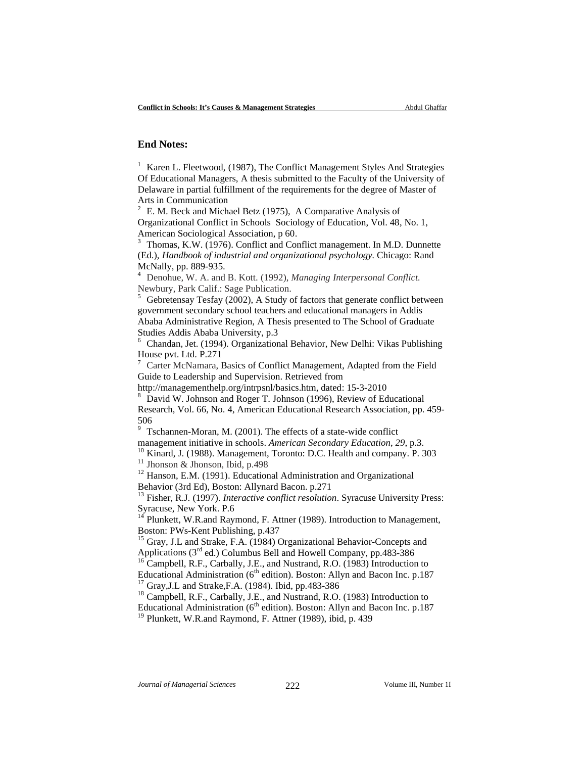### **End Notes:**

<sup>1</sup> Karen L. Fleetwood, (1987), The Conflict Management Styles And Strategies Of Educational Managers, A thesis submitted to the Faculty of the University of Delaware in partial fulfillment of the requirements for the degree of Master of Arts in Communication

<sup>2</sup> E. M. Beck and Michael Betz (1975), A Comparative Analysis of Organizational Conflict in Schools Sociology of Education, Vol. 48, No. 1, American Sociological Association, p 60.

<sup>3</sup> Thomas, K.W. (1976). Conflict and Conflict management. In M.D. Dunnette (Ed.), *Handbook of industrial and organizational psychology.* Chicago: Rand McNally, pp. 889-935.

<sup>4</sup> Denohue, W. A. and B. Kott. (1992), *Managing Interpersonal Conflict.*  Newbury, Park Calif.: Sage Publication.

 $5$  Gebretensay Tesfay (2002), A Study of factors that generate conflict between government secondary school teachers and educational managers in Addis Ababa Administrative Region, A Thesis presented to The School of Graduate Studies Addis Ababa University, p.3

<sup>6</sup> Chandan, Jet. (1994). Organizational Behavior, New Delhi: Vikas Publishing House pvt. Ltd. P.271

<sup>7</sup> Carter McNamara, Basics of Conflict Management, Adapted from the Field Guide to Leadership and Supervision. Retrieved from

http://managementhelp.org/intrpsnl/basics.htm, dated: 15-3-2010

<sup>8</sup> David W. Johnson and Roger T. Johnson (1996), Review of Educational Research, Vol. 66, No. 4, American Educational Research Association, pp. 459- 506

<sup>9</sup> Tschannen-Moran, M. (2001). The effects of a state-wide conflict management initiative in schools. American Secondary Education, 29, p.3.<br><sup>10</sup> Kinard, J. (1988). Management, Toronto: D.C. Health and company. P. 303<sup>11</sup> Jhonson & Jhonson, Ibid, p.498<sup>212</sup> Hanson, E.M. (1991). Educational

Behavior (3rd Ed), Boston: Allynard Bacon. p.271

<sup>13</sup> Fisher, R.J. (1997). *Interactive conflict resolution*. Syracuse University Press: Syracuse, New York. P.6

 $14$  Plunkett, W.R.and Raymond, F. Attner (1989). Introduction to Management, Boston: PWs-Kent Publishing, p.437

<sup>15</sup> Gray, J.L and Strake, F.A. (1984) Organizational Behavior-Concepts and Applications ( $3<sup>rd</sup>$  ed.) Columbus Bell and Howell Company, pp.483-386

<sup>16</sup> Campbell, R.F., Carbally, J.E., and Nustrand, R.O. (1983) Introduction to Educational Administration (6<sup>th</sup> edition). Boston: Allyn and Bacon Inc. p.187 <sup>17</sup> Gray,J.L and Strake,F.A. (1984). Ibid, pp.483-386  $18$  Campbell, R.F., Carbally, J.E., and Nustrand, R.O. (1983) Introduction to

Educational Administration ( $6<sup>th</sup>$  edition). Boston: Allyn and Bacon Inc. p.187

<sup>19</sup> Plunkett, W.R.and Raymond, F. Attner (1989), ibid, p. 439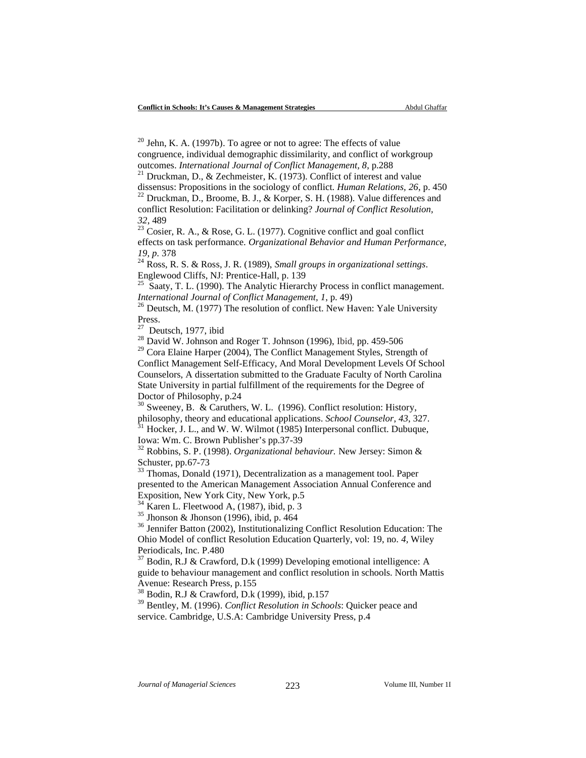$20$  Jehn, K. A. (1997b). To agree or not to agree: The effects of value congruence, individual demographic dissimilarity, and conflict of workgroup

outcomes. *International Journal of Conflict Management*, 8, p.288<br><sup>21</sup> Druckman, D., & Zechmeister, K. (1973). Conflict of interest and value<br>dissensus: Propositions in the sociology of conflict. *Human Relations*, 26, p.

<sup>22</sup> Druckman, D., Broome, B. J., & Korper, S. H. (1988). Value differences and conflict Resolution: Facilitation or delinking? *Journal of Conflict Resolution, <sup>32</sup>*, 489 <sup>23</sup> Cosier, R. A., & Rose, G. L. (1977). Cognitive conflict and goal conflict

effects on task performance. *Organizational Behavior and Human Performance, 19, p.* <sup>378</sup> <sup>24</sup> Ross, R. S. & Ross, J. R. (1989), *Small groups in organizational settings*.

Englewood Cliffs, NJ: Prentice-Hall, p. 139

<sup>25</sup> Saaty, T. L. (1990). The Analytic Hierarchy Process in conflict management. *International Journal of Conflict Management, 1*, p. 49)<br><sup>26</sup> Deutsch, M. (1977) The resolution of conflict. New Haven: Yale University

Press.<br><sup>27</sup> Deutsch, 1977, ibid

 $28$  David W. Johnson and Roger T. Johnson (1996), Ibid, pp. 459-506

<sup>29</sup> Cora Elaine Harper (2004), The Conflict Management Styles, Strength of Conflict Management Self-Efficacy, And Moral Development Levels Of School Counselors, A dissertation submitted to the Graduate Faculty of North Carolina State University in partial fulfillment of the requirements for the Degree of Doctor of Philosophy, p.24

<sup>30</sup> Sweeney, B. & Caruthers, W. L. (1996). Conflict resolution: History, philosophy, theory and educational applications. *School Counselor*, 43, 327. Hocker, J. L., and W. W. Wilmot (1985) Interpersonal conflict. Dubuque,

Iowa: Wm. C. Brown Publisher's pp.37-39

<sup>32</sup> Robbins, S. P. (1998). *Organizational behaviour.* New Jersey: Simon & Schuster, pp.67-73

<sup>33</sup> Thomas, Donald (1971), Decentralization as a management tool. Paper presented to the American Management Association Annual Conference and Exposition, New York City, New York, p.5<br><sup>34</sup> Karen L. Fleetwood A, (1987), ibid, p. 3

<sup>35</sup> Jhonson & Jhonson (1996), ibid, p. 464<br><sup>36</sup> Jennifer Batton (2002), Institutionalizing Conflict Resolution Education: The Ohio Model of conflict Resolution Education Quarterly, vol: 19, no. *4,* Wiley Periodicals, Inc. P.480

<sup>37</sup> Bodin, R.J & Crawford, D.k (1999) Developing emotional intelligence: A guide to behaviour management and conflict resolution in schools. North Mattis Avenue: Research Press, p.155

<sup>38</sup> Bodin, R.J & Crawford, D.k (1999), ibid, p.157

<sup>39</sup> Bentley, M. (1996). *Conflict Resolution in Schools*: Quicker peace and service. Cambridge, U.S.A: Cambridge University Press, p.4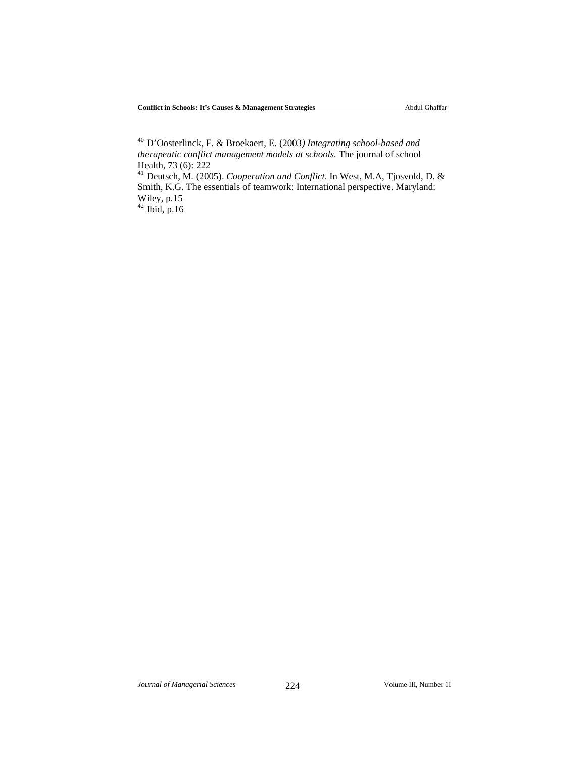<sup>40</sup> D'Oosterlinck, F. & Broekaert, E. (2003*) Integrating school-based and therapeutic conflict management models at schools.* The journal of school Health, 73 (6): 222

<sup>41</sup> Deutsch, M. (2005). *Cooperation and Conflict*. In West, M.A, Tjosvold, D. & Smith, K.G. The essentials of teamwork: International perspective. Maryland: Wiley, p.15

 $42$  Ibid, p.16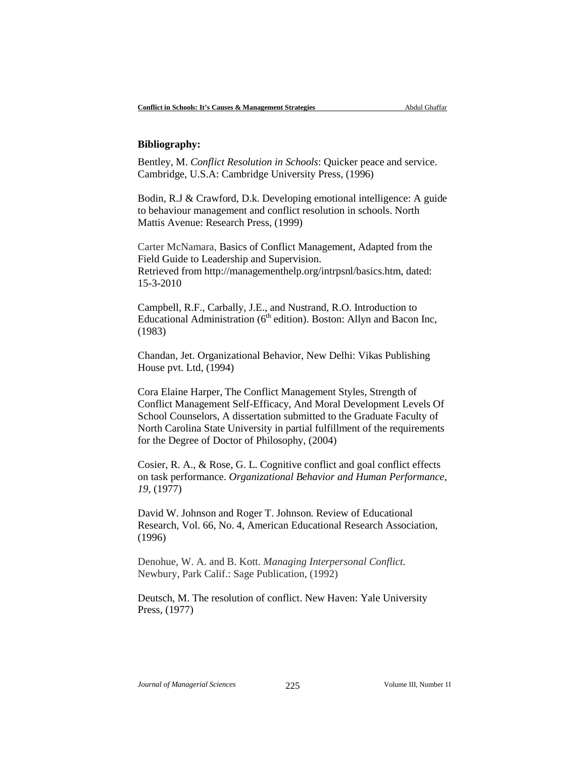### **Bibliography:**

Bentley, M. *Conflict Resolution in Schools*: Quicker peace and service. Cambridge, U.S.A: Cambridge University Press, (1996)

Bodin, R.J & Crawford, D.k. Developing emotional intelligence: A guide to behaviour management and conflict resolution in schools. North Mattis Avenue: Research Press, (1999)

Carter McNamara, Basics of Conflict Management, Adapted from the Field Guide to Leadership and Supervision. Retrieved from http://managementhelp.org/intrpsnl/basics.htm, dated: 15-3-2010

Campbell, R.F., Carbally, J.E., and Nustrand, R.O. Introduction to Educational Administration ( $6<sup>th</sup>$  edition). Boston: Allyn and Bacon Inc, (1983)

Chandan, Jet. Organizational Behavior, New Delhi: Vikas Publishing House pvt. Ltd, (1994)

Cora Elaine Harper, The Conflict Management Styles, Strength of Conflict Management Self-Efficacy, And Moral Development Levels Of School Counselors, A dissertation submitted to the Graduate Faculty of North Carolina State University in partial fulfillment of the requirements for the Degree of Doctor of Philosophy, (2004)

Cosier, R. A., & Rose, G. L. Cognitive conflict and goal conflict effects on task performance. *Organizational Behavior and Human Performance, 19,* (1977)

David W. Johnson and Roger T. Johnson. Review of Educational Research, Vol. 66, No. 4, American Educational Research Association, (1996)

Denohue, W. A. and B. Kott. *Managing Interpersonal Conflict.*  Newbury, Park Calif.: Sage Publication, (1992)

Deutsch, M. The resolution of conflict. New Haven: Yale University Press, (1977)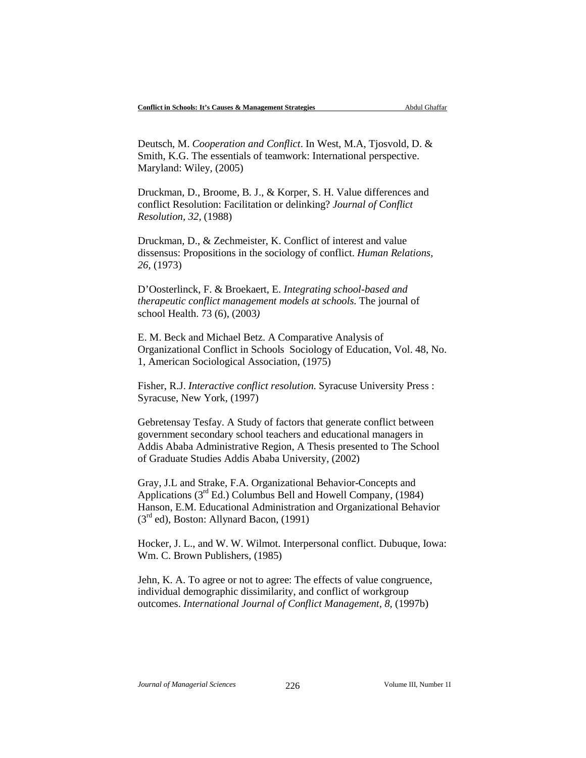Deutsch, M. *Cooperation and Conflict*. In West, M.A, Tjosvold, D. & Smith, K.G. The essentials of teamwork: International perspective. Maryland: Wiley, (2005)

Druckman, D., Broome, B. J., & Korper, S. H. Value differences and conflict Resolution: Facilitation or delinking? *Journal of Conflict Resolution, 32,* (1988)

Druckman, D., & Zechmeister, K. Conflict of interest and value dissensus: Propositions in the sociology of conflict. *Human Relations, 26,* (1973)

D'Oosterlinck, F. & Broekaert, E. *Integrating school-based and therapeutic conflict management models at schools.* The journal of school Health. 73 (6), (2003*)*

E. M. Beck and Michael Betz. A Comparative Analysis of Organizational Conflict in Schools Sociology of Education, Vol. 48, No. 1, American Sociological Association, (1975)

Fisher, R.J. *Interactive conflict resolution*. Syracuse University Press : Syracuse, New York, (1997)

Gebretensay Tesfay. A Study of factors that generate conflict between government secondary school teachers and educational managers in Addis Ababa Administrative Region, A Thesis presented to The School of Graduate Studies Addis Ababa University, (2002)

Gray, J.L and Strake, F.A. Organizational Behavior-Concepts and Applications (3rd Ed.) Columbus Bell and Howell Company, (1984) Hanson, E.M. Educational Administration and Organizational Behavior  $(3<sup>rd</sup>$  ed), Boston: Allynard Bacon,  $(1991)$ 

Hocker, J. L., and W. W. Wilmot. Interpersonal conflict. Dubuque, Iowa: Wm. C. Brown Publishers, (1985)

Jehn, K. A. To agree or not to agree: The effects of value congruence, individual demographic dissimilarity, and conflict of workgroup outcomes. *International Journal of Conflict Management, 8,* (1997b)